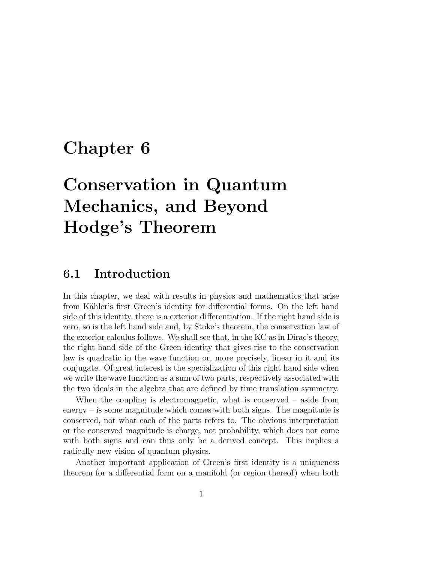# Chapter 6

# Conservation in Quantum Mechanics, and Beyond Hodge's Theorem

## 6.1 Introduction

In this chapter, we deal with results in physics and mathematics that arise from Kähler's first Green's identity for differential forms. On the left hand side of this identity, there is a exterior differentiation. If the right hand side is zero, so is the left hand side and, by Stoke's theorem, the conservation law of the exterior calculus follows. We shall see that, in the KC as in Dirac's theory, the right hand side of the Green identity that gives rise to the conservation law is quadratic in the wave function or, more precisely, linear in it and its conjugate. Of great interest is the specialization of this right hand side when we write the wave function as a sum of two parts, respectively associated with the two ideals in the algebra that are defined by time translation symmetry.

When the coupling is electromagnetic, what is conserved – aside from energy – is some magnitude which comes with both signs. The magnitude is conserved, not what each of the parts refers to. The obvious interpretation or the conserved magnitude is charge, not probability, which does not come with both signs and can thus only be a derived concept. This implies a radically new vision of quantum physics.

Another important application of Green's first identity is a uniqueness theorem for a differential form on a manifold (or region thereof) when both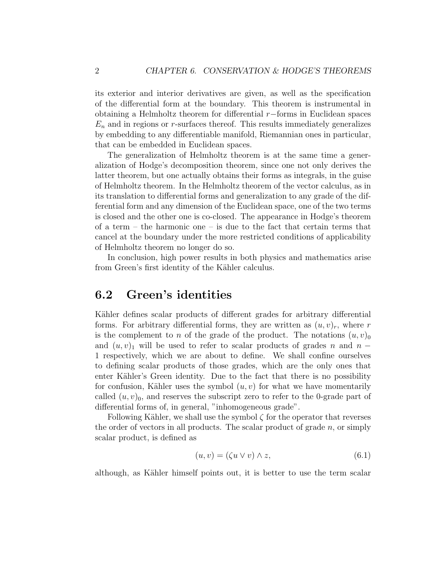its exterior and interior derivatives are given, as well as the specification of the differential form at the boundary. This theorem is instrumental in obtaining a Helmholtz theorem for differential r−forms in Euclidean spaces  $E_n$  and in regions or r-surfaces thereof. This results immediately generalizes by embedding to any differentiable manifold, Riemannian ones in particular, that can be embedded in Euclidean spaces.

The generalization of Helmholtz theorem is at the same time a generalization of Hodge's decomposition theorem, since one not only derives the latter theorem, but one actually obtains their forms as integrals, in the guise of Helmholtz theorem. In the Helmholtz theorem of the vector calculus, as in its translation to differential forms and generalization to any grade of the differential form and any dimension of the Euclidean space, one of the two terms is closed and the other one is co-closed. The appearance in Hodge's theorem of a term – the harmonic one – is due to the fact that certain terms that cancel at the boundary under the more restricted conditions of applicability of Helmholtz theorem no longer do so.

In conclusion, high power results in both physics and mathematics arise from Green's first identity of the Kähler calculus.

### 6.2 Green's identities

Kähler defines scalar products of different grades for arbitrary differential forms. For arbitrary differential forms, they are written as  $(u, v)<sub>r</sub>$ , where r is the complement to n of the grade of the product. The notations  $(u, v)_0$ and  $(u, v)$ <sub>1</sub> will be used to refer to scalar products of grades n and n − 1 respectively, which we are about to define. We shall confine ourselves to defining scalar products of those grades, which are the only ones that enter Kähler's Green identity. Due to the fact that there is no possibility for confusion, Kähler uses the symbol  $(u, v)$  for what we have momentarily called  $(u, v)_0$ , and reserves the subscript zero to refer to the 0-grade part of differential forms of, in general, "inhomogeneous grade".

Following Kähler, we shall use the symbol  $\zeta$  for the operator that reverses the order of vectors in all products. The scalar product of grade  $n$ , or simply scalar product, is defined as

$$
(u, v) = (\zeta u \lor v) \land z,\tag{6.1}
$$

although, as Kähler himself points out, it is better to use the term scalar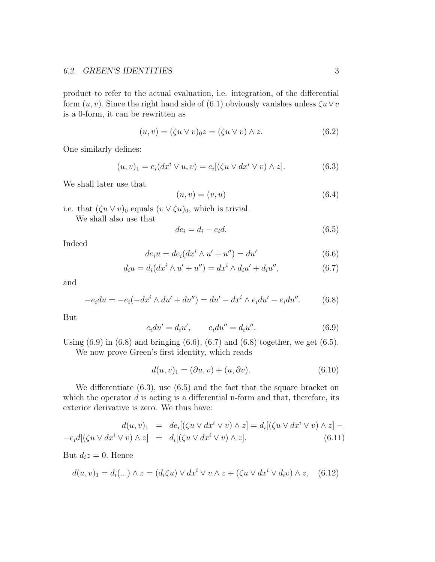product to refer to the actual evaluation, i.e. integration, of the differential form  $(u, v)$ . Since the right hand side of (6.1) obviously vanishes unless  $\zeta u \vee v$ is a 0-form, it can be rewritten as

$$
(u, v) = (\zeta u \vee v)_{0} z = (\zeta u \vee v) \wedge z.
$$
\n
$$
(6.2)
$$

One similarly defines:

$$
(u,v)_1 = e_i(dx^i \vee u, v) = e_i[(\zeta u \vee dx^i \vee v) \wedge z]. \tag{6.3}
$$

We shall later use that

$$
(u, v) = (v, u) \tag{6.4}
$$

i.e. that  $(\zeta u \vee v)_0$  equals  $(v \vee \zeta u)_0$ , which is trivial.

We shall also use that

$$
de_i = d_i - e_i d. \tag{6.5}
$$

Indeed

$$
de_i u = de_i(dx^i \wedge u' + u'') = du'
$$
\n(6.6)

$$
d_i u = d_i (dx^i \wedge u' + u'') = dx^i \wedge d_i u' + d_i u'', \qquad (6.7)
$$

and

$$
-e_i du = -e_i(-dx^i \wedge du' + du'') = du' - dx^i \wedge e_i du' - e_i du''.
$$
 (6.8)

But

$$
e_i du' = d_i u', \qquad e_i du'' = d_i u''.
$$
\n
$$
(6.9)
$$

Using  $(6.9)$  in  $(6.8)$  and bringing  $(6.6)$ ,  $(6.7)$  and  $(6.8)$  together, we get  $(6.5)$ .

We now prove Green's first identity, which reads

$$
d(u, v)_1 = (\partial u, v) + (u, \partial v). \tag{6.10}
$$

We differentiate (6.3), use (6.5) and the fact that the square bracket on which the operator  $d$  is acting is a differential n-form and that, therefore, its exterior derivative is zero. We thus have:

$$
d(u, v)_1 = de_i[(\zeta u \vee dx^i \vee v) \wedge z] = d_i[(\zeta u \vee dx^i \vee v) \wedge z] - e_i d[(\zeta u \vee dx^i \vee v) \wedge z] = d_i[(\zeta u \vee dx^i \vee v) \wedge z]. \tag{6.11}
$$

But  $d_i z = 0$ . Hence

$$
d(u, v)_1 = d_i(...) \wedge z = (d_i \zeta u) \vee dx^i \vee v \wedge z + (\zeta u \vee dx^i \vee d_i v) \wedge z, \quad (6.12)
$$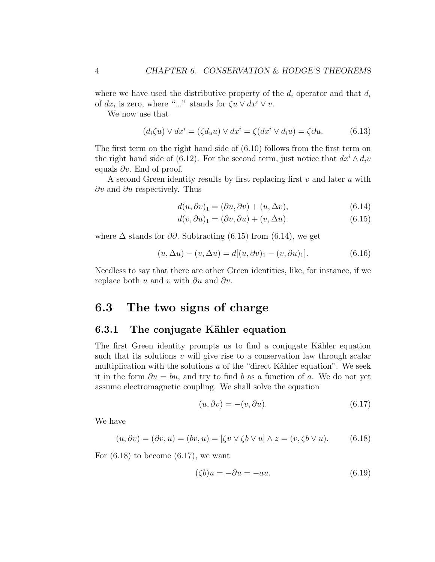where we have used the distributive property of the  $d_i$  operator and that  $d_i$ of  $dx_i$  is zero, where "..." stands for  $\zeta u \vee dx^i \vee v$ .

We now use that

$$
(d_i\zeta u) \vee dx^i = (\zeta d_u u) \vee dx^i = \zeta(dx^i \vee d_i u) = \zeta \partial u.
$$
 (6.13)

The first term on the right hand side of (6.10) follows from the first term on the right hand side of (6.12). For the second term, just notice that  $dx^{i} \wedge d_{i}v$ equals  $\partial v$ . End of proof.

A second Green identity results by first replacing first  $v$  and later  $u$  with  $\partial v$  and  $\partial u$  respectively. Thus

$$
d(u, \partial v)_1 = (\partial u, \partial v) + (u, \Delta v), \tag{6.14}
$$

$$
d(v, \partial u)_1 = (\partial v, \partial u) + (v, \Delta u). \tag{6.15}
$$

where  $\Delta$  stands for  $\partial\partial$ . Subtracting (6.15) from (6.14), we get

$$
(u, \Delta u) - (v, \Delta u) = d[(u, \partial v)_1 - (v, \partial u)_1].
$$
\n(6.16)

Needless to say that there are other Green identities, like, for instance, if we replace both u and v with  $\partial u$  and  $\partial v$ .

### 6.3 The two signs of charge

### 6.3.1 The conjugate Kähler equation

The first Green identity prompts us to find a conjugate Kähler equation such that its solutions  $v$  will give rise to a conservation law through scalar multiplication with the solutions  $u$  of the "direct Kähler equation". We seek it in the form  $\partial u = bu$ , and try to find b as a function of a. We do not yet assume electromagnetic coupling. We shall solve the equation

$$
(u, \partial v) = -(v, \partial u). \tag{6.17}
$$

We have

$$
(u, \partial v) = (\partial v, u) = (bv, u) = [\zeta v \lor \zeta b \lor u] \land z = (v, \zeta b \lor u). \tag{6.18}
$$

For  $(6.18)$  to become  $(6.17)$ , we want

$$
(\zeta b)u = -\partial u = -au.
$$
\n(6.19)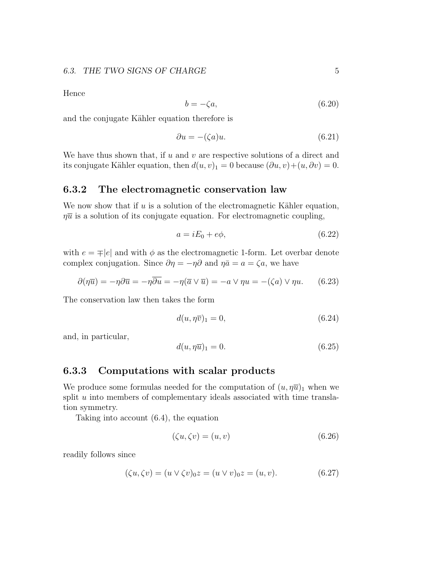Hence

$$
b = -\zeta a,\tag{6.20}
$$

and the conjugate Kähler equation therefore is

$$
\partial u = -(\zeta a)u.\tag{6.21}
$$

We have thus shown that, if  $u$  and  $v$  are respective solutions of a direct and its conjugate Kähler equation, then  $d(u, v)_1 = 0$  because  $(\partial u, v) + (u, \partial v) = 0$ .

#### 6.3.2 The electromagnetic conservation law

We now show that if  $u$  is a solution of the electromagnetic Kähler equation,  $\eta \overline{u}$  is a solution of its conjugate equation. For electromagnetic coupling,

$$
a = iE_0 + e\phi,\tag{6.22}
$$

with  $e = \pm |e|$  and with  $\phi$  as the electromagnetic 1-form. Let overbar denote complex conjugation. Since  $\partial \eta = -\eta \partial$  and  $\eta \bar{a} = a = \zeta a$ , we have

$$
\partial(\eta \overline{u}) = -\eta \partial \overline{u} = -\eta \overline{\partial u} = -\eta (\overline{a} \vee \overline{u}) = -a \vee \eta u = -(\zeta a) \vee \eta u. \qquad (6.23)
$$

The conservation law then takes the form

$$
d(u, \eta \overline{v})_1 = 0,\t\t(6.24)
$$

and, in particular,

$$
d(u, \eta \overline{u})_1 = 0. \tag{6.25}
$$

#### 6.3.3 Computations with scalar products

We produce some formulas needed for the computation of  $(u, \eta \overline{u})_1$  when we split  $u$  into members of complementary ideals associated with time translation symmetry.

Taking into account (6.4), the equation

$$
(\zeta u, \zeta v) = (u, v) \tag{6.26}
$$

readily follows since

$$
(\zeta u, \zeta v) = (u \vee \zeta v)_{0} z = (u \vee v)_{0} z = (u, v).
$$
 (6.27)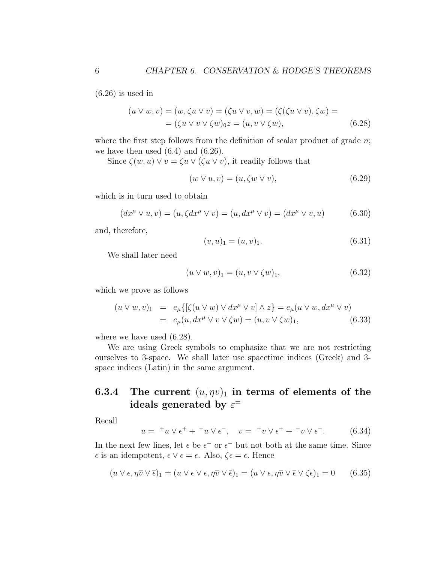$(6.26)$  is used in

$$
(u \lor w, v) = (w, \zeta u \lor v) = (\zeta u \lor v, w) = (\zeta(\zeta u \lor v), \zeta w) =
$$
  
= (\zeta u \lor v \lor \zeta w)\_0 z = (u, v \lor \zeta w), \t(6.28)

where the first step follows from the definition of scalar product of grade  $n$ ; we have then used  $(6.4)$  and  $(6.26)$ .

Since  $\zeta(w, u) \vee v = \zeta u \vee (\zeta u \vee v)$ , it readily follows that

$$
(w \lor u, v) = (u, \zeta w \lor v), \tag{6.29}
$$

which is in turn used to obtain

$$
(dx^{\mu} \vee u, v) = (u, \zeta dx^{\mu} \vee v) = (u, dx^{\mu} \vee v) = (dx^{\mu} \vee v, u)
$$
(6.30)

and, therefore,

$$
(v, u)_1 = (u, v)_1. \tag{6.31}
$$

We shall later need

$$
(u \lor w, v)_1 = (u, v \lor \zeta w)_1, \tag{6.32}
$$

which we prove as follows

$$
(u \vee w, v)_1 = e_\mu\{ [\zeta(u \vee w) \vee dx^\mu \vee v] \wedge z \} = e_\mu(u \vee w, dx^\mu \vee v)
$$
  
=  $e_\mu(u, dx^\mu \vee v \vee \zeta w) = (u, v \vee \zeta w)_1,$  (6.33)

where we have used (6.28).

We are using Greek symbols to emphasize that we are not restricting ourselves to 3-space. We shall later use spacetime indices (Greek) and 3 space indices (Latin) in the same argument.

### 6.3.4 The current  $(u, \overline{\eta v})_1$  in terms of elements of the ideals generated by  $\varepsilon^\pm$

Recall

$$
u = {}^{+}u \vee \epsilon^{+} + {}^{-}u \vee \epsilon^{-}, \quad v = {}^{+}v \vee \epsilon^{+} + {}^{-}v \vee \epsilon^{-}.
$$
 (6.34)

In the next few lines, let  $\epsilon$  be  $\epsilon^+$  or  $\epsilon^-$  but not both at the same time. Since  $\epsilon$  is an idempotent,  $\epsilon \vee \epsilon = \epsilon$ . Also,  $\zeta \epsilon = \epsilon$ . Hence

$$
(u \vee \epsilon, \eta \overline{v} \vee \overline{\epsilon})_1 = (u \vee \epsilon \vee \epsilon, \eta \overline{v} \vee \overline{\epsilon})_1 = (u \vee \epsilon, \eta \overline{v} \vee \overline{\epsilon} \vee \zeta \epsilon)_1 = 0 \quad (6.35)
$$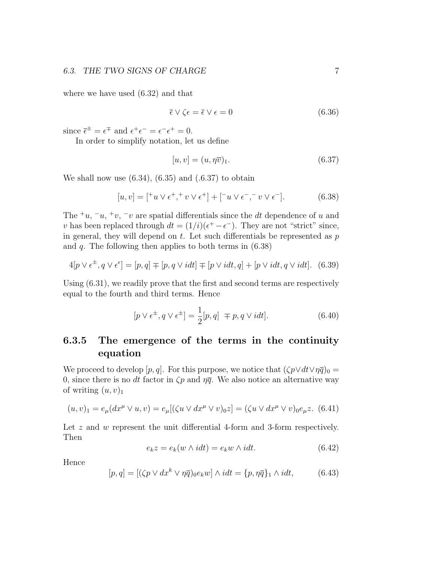where we have used (6.32) and that

$$
\overline{\epsilon} \vee \zeta \epsilon = \overline{\epsilon} \vee \epsilon = 0 \tag{6.36}
$$

since  $\bar{\epsilon}^{\pm} = \epsilon^{\mp}$  and  $\epsilon^+ \epsilon^- = \epsilon^- \epsilon^+ = 0$ .

In order to simplify notation, let us define

$$
[u, v] = (u, \eta \overline{v})_1. \tag{6.37}
$$

We shall now use  $(6.34)$ ,  $(6.35)$  and  $(0.6.37)$  to obtain

$$
[u, v] = [{}^+u \vee \epsilon^+, {}^+v \vee \epsilon^+] + [{}^-u \vee \epsilon^-, {}^-v \vee \epsilon^-].
$$
 (6.38)

The <sup>+</sup>u, <sup>-</sup>u, <sup>+</sup>v, <sup>-</sup>v are spatial differentials since the dt dependence of u and v has been replaced through  $dt = (1/i)(\epsilon^+ - \epsilon^-)$ . They are not "strict" since, in general, they will depend on  $t$ . Let such differentials be represented as  $p$ and  $q$ . The following then applies to both terms in  $(6.38)$ 

$$
4[p \vee \epsilon^{\pm}, q \vee \epsilon^{\epsilon}] = [p, q] \mp [p, q \vee idt] \mp [p \vee idt, q] + [p \vee idt, q \vee idt]. \tag{6.39}
$$

Using (6.31), we readily prove that the first and second terms are respectively equal to the fourth and third terms. Hence

$$
[p \lor \epsilon^{\pm}, q \lor \epsilon^{\pm}] = \frac{1}{2}[p, q] \mp p, q \lor i dt].
$$
 (6.40)

### 6.3.5 The emergence of the terms in the continuity equation

We proceed to develop [p, q]. For this purpose, we notice that  $(\zeta p \vee dt \vee \eta \overline{q})_0 =$ 0, since there is no dt factor in  $\zeta p$  and  $\eta \overline{q}$ . We also notice an alternative way of writing  $(u, v)_1$ 

$$
(u, v)_1 = e_\mu (dx^\mu \vee u, v) = e_\mu [(\zeta u \vee dx^\mu \vee v)_0 z] = (\zeta u \vee dx^\mu \vee v)_0 e_\mu z. \tag{6.41}
$$

Let z and w represent the unit differential 4-form and 3-form respectively. Then

$$
e_k z = e_k(w \wedge idt) = e_k w \wedge idt.
$$
\n(6.42)

Hence

$$
[p,q] = [(\zeta p \lor dx^k \lor \eta \overline{q})_0 e_k w] \land idt = \{p, \eta \overline{q}\}_1 \land idt, \tag{6.43}
$$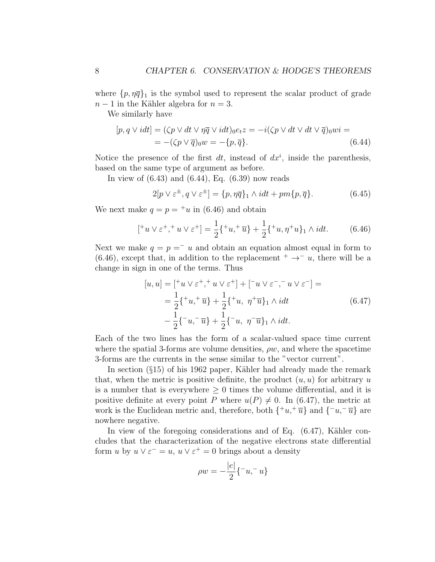where  $\{p, \eta \overline{q}\}\$ <sub>1</sub> is the symbol used to represent the scalar product of grade  $n-1$  in the Kähler algebra for  $n=3$ .

We similarly have

$$
[p, q \lor i dt] = (\zeta p \lor dt \lor \eta \overline{q} \lor i dt)_{0} e_t z = -i(\zeta p \lor dt \lor dt \lor \overline{q})_{0} w i =
$$
  
= -(\zeta p \lor \overline{q})\_{0} w = -\{p, \overline{q}\}. (6.44)

Notice the presence of the first  $dt$ , instead of  $dx^i$ , inside the parenthesis, based on the same type of argument as before.

In view of (6.43) and (6.44), Eq. (6.39) now reads

$$
2[p \vee \varepsilon^{\pm}, q \vee \varepsilon^{\pm}] = \{p, \eta \overline{q}\}_1 \wedge idt + pm\{p, \overline{q}\}.
$$
 (6.45)

We next make  $q = p = {}^{\dagger}u$  in (6.46) and obtain

$$
[{}^+u \vee \varepsilon^+, {}^+u \vee \varepsilon^+] = \frac{1}{2} \{ {}^+u, {}^+ \overline{u} \} + \frac{1}{2} \{ {}^+u, \eta^+u \}_1 \wedge idt. \tag{6.46}
$$

Next we make  $q = p = u$  and obtain an equation almost equal in form to (6.46), except that, in addition to the replacement  $+ \rightarrow^- u$ , there will be a change in sign in one of the terms. Thus

$$
[u, u] = [{}^+u \vee \varepsilon^+, {}^+u \vee \varepsilon^+] + [{}^-u \vee \varepsilon^-, {}^-u \vee \varepsilon^-] =
$$
  

$$
= \frac{1}{2} \{ {}^+u, {}^+ \overline{u} \} + \frac{1}{2} \{ {}^+u, \eta^+ \overline{u} \}_1 \wedge idt
$$
  

$$
- \frac{1}{2} \{ {}^-u, {}^- \overline{u} \} + \frac{1}{2} \{ {}^-u, \eta^- \overline{u} \}_1 \wedge idt.
$$
 (6.47)

Each of the two lines has the form of a scalar-valued space time current where the spatial 3-forms are volume densities,  $\rho w$ , and where the spacetime 3-forms are the currents in the sense similar to the "vector current".

In section  $(\S15)$  of his 1962 paper, Kähler had already made the remark that, when the metric is positive definite, the product  $(u, u)$  for arbitrary u is a number that is everywhere  $\geq 0$  times the volume differential, and it is positive definite at every point P where  $u(P) \neq 0$ . In (6.47), the metric at work is the Euclidean metric and, therefore, both  $\{\pm u, \pm \overline{u}\}$  and  $\{\pm u, -\overline{u}\}$  are nowhere negative.

In view of the foregoing considerations and of Eq.  $(6.47)$ , Kähler concludes that the characterization of the negative electrons state differential form u by  $u \vee \varepsilon^{-} = u$ ,  $u \vee \varepsilon^{+} = 0$  brings about a density

$$
\rho w = -\frac{|e|}{2} \{-u, -u\}
$$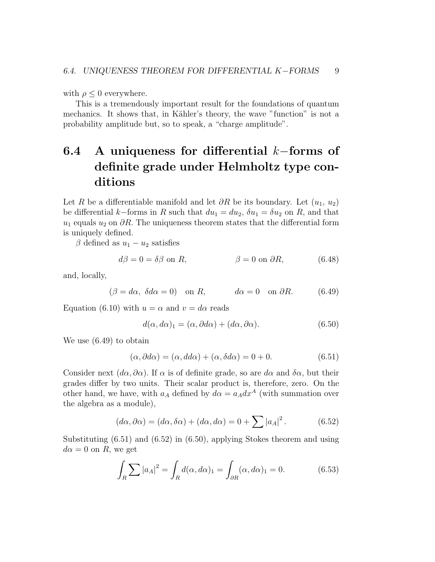with  $\rho \leq 0$  everywhere.

This is a tremendously important result for the foundations of quantum mechanics. It shows that, in Kähler's theory, the wave "function" is not a probability amplitude but, so to speak, a "charge amplitude".

## 6.4 A uniqueness for differential k−forms of definite grade under Helmholtz type conditions

Let R be a differentiable manifold and let  $\partial R$  be its boundary. Let  $(u_1, u_2)$ be differential k–forms in R such that  $du_1 = du_2$ ,  $\delta u_1 = \delta u_2$  on R, and that  $u_1$  equals  $u_2$  on  $\partial R$ . The uniqueness theorem states that the differential form is uniquely defined.

 $\beta$  defined as  $u_1 - u_2$  satisfies

$$
d\beta = 0 = \delta\beta \text{ on } R, \qquad \beta = 0 \text{ on } \partial R, \qquad (6.48)
$$

and, locally,

$$
(\beta = d\alpha, \ \delta d\alpha = 0) \quad \text{on } R, \qquad d\alpha = 0 \quad \text{on } \partial R. \tag{6.49}
$$

Equation (6.10) with  $u = \alpha$  and  $v = d\alpha$  reads

$$
d(\alpha, d\alpha)_1 = (\alpha, \partial d\alpha) + (d\alpha, \partial \alpha). \tag{6.50}
$$

We use (6.49) to obtain

$$
(\alpha, \partial d\alpha) = (\alpha, dd\alpha) + (\alpha, \delta d\alpha) = 0 + 0. \tag{6.51}
$$

Consider next  $(d\alpha, \partial\alpha)$ . If  $\alpha$  is of definite grade, so are  $d\alpha$  and  $\delta\alpha$ , but their grades differ by two units. Their scalar product is, therefore, zero. On the other hand, we have, with  $a_A$  defined by  $d\alpha = a_A dx^A$  (with summation over the algebra as a module),

$$
(d\alpha, \partial \alpha) = (d\alpha, \delta \alpha) + (d\alpha, d\alpha) = 0 + \sum |a_A|^2.
$$
 (6.52)

Substituting (6.51) and (6.52) in (6.50), applying Stokes theorem and using  $d\alpha = 0$  on R, we get

$$
\int_{R} \sum |a_{A}|^{2} = \int_{R} d(\alpha, d\alpha)_{1} = \int_{\partial R} (\alpha, d\alpha)_{1} = 0.
$$
\n(6.53)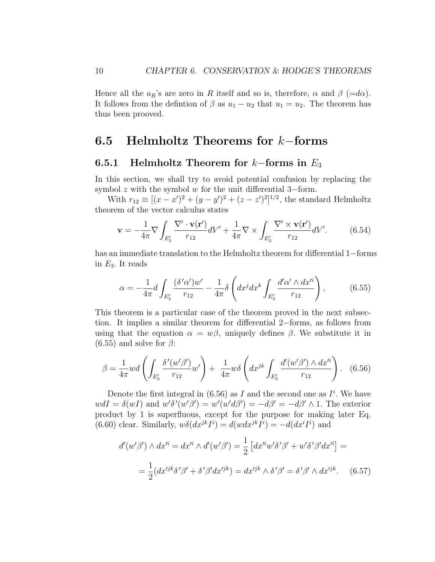Hence all the  $a_R$ 's are zero in R itself and so is, therefore,  $\alpha$  and  $\beta$  (=d $\alpha$ ). It follows from the defintion of  $\beta$  as  $u_1 - u_2$  that  $u_1 = u_2$ . The theorem has thus been prooved.

### 6.5 Helmholtz Theorems for k−forms

#### 6.5.1 Helmholtz Theorem for  $k$ -forms in  $E_3$

In this section, we shall try to avoid potential confusion by replacing the symbol  $z$  with the symbol  $w$  for the unit differential 3–form.

With  $r_{12} \equiv [(x - x')^2 + (y - y')^2 + (z - z')^2]^{1/2}$ , the standard Helmholtz theorem of the vector calculus states

$$
\mathbf{v} = -\frac{1}{4\pi} \nabla \int_{E'_3} \frac{\nabla' \cdot \mathbf{v}(\mathbf{r}')}{r_{12}} dV' + \frac{1}{4\pi} \nabla \times \int_{E'_3} \frac{\nabla' \times \mathbf{v}(\mathbf{r}')}{r_{12}} dV'. \tag{6.54}
$$

has an immediate translation to the Helmholtz theorem for differential 1−forms in  $E_3$ . It reads

$$
\alpha = -\frac{1}{4\pi} d \int_{E'_3} \frac{(\delta' \alpha') w'}{r_{12}} - \frac{1}{4\pi} \delta \left( dx^j dx^k \int_{E'_3} \frac{d' \alpha' \wedge dx'^i}{r_{12}} \right), \tag{6.55}
$$

This theorem is a particular case of the theorem proved in the next subsection. It implies a similar theorem for differential 2−forms, as follows from using that the equation  $\alpha = w\beta$ , uniquely defines  $\beta$ . We substitute it in  $(6.55)$  and solve for  $\beta$ :

$$
\beta = \frac{1}{4\pi} w d \left( \int_{E'_3} \frac{\delta'(w'\beta')}{r_{12}} w' \right) + \frac{1}{4\pi} w \delta \left( dx^{jk} \int_{E'_3} \frac{d'(w'\beta') \wedge dx'^i}{r_{12}} \right). \tag{6.56}
$$

Denote the first integral in (6.56) as I and the second one as  $I^i$ . We have  $wdI = \delta(wI)$  and  $w'\delta'(w'\beta') = w'(w'd\beta') = -d\beta' = -d\beta' \wedge 1$ . The exterior product by 1 is superfluous, except for the purpose for making later Eq. (6.60) clear. Similarly,  $w\delta(dx^{jk}I^i) = d(wdx^{jk}I^i) = -d(dx^{i}I^i)$  and

$$
d'(w'\beta') \wedge dx'^i = dx'^i \wedge d'(w'\beta') = \frac{1}{2} \left[ dx'^i w' \delta'\beta' + w' \delta'\beta' dx'^i \right] =
$$

$$
= \frac{1}{2} (dx'^{jk} \delta'\beta' + \delta'\beta' dx'^{jk}) = dx'^{jk} \wedge \delta'\beta' = \delta'\beta' \wedge dx'^{jk}. \quad (6.57)
$$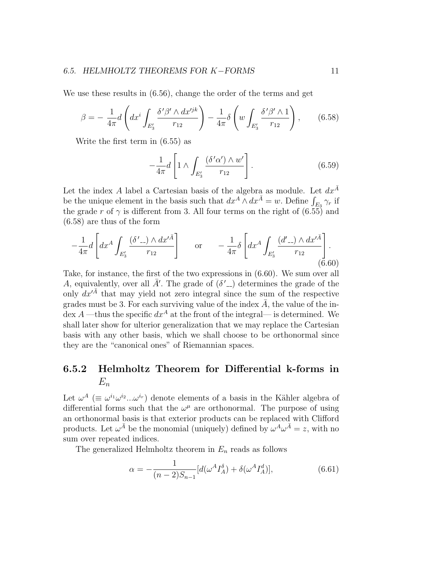We use these results in  $(6.56)$ , change the order of the terms and get

$$
\beta = -\frac{1}{4\pi} d\left( dx^i \int_{E'_3} \frac{\delta' \beta' \wedge dx'^{jk}}{r_{12}} \right) - \frac{1}{4\pi} \delta\left(w \int_{E'_3} \frac{\delta' \beta' \wedge 1}{r_{12}}\right), \qquad (6.58)
$$

Write the first term in (6.55) as

$$
-\frac{1}{4\pi}d\left[1\wedge\int_{E'_3}\frac{(\delta'\alpha')\wedge w'}{r_{12}}\right].\tag{6.59}
$$

Let the index  $A$  label a Cartesian basis of the algebra as module. Let  $dx^{\bar A}$ be the unique element in the basis such that  $dx^A \wedge dx^{\bar{A}} = w$ . Define  $\int_{E_3} \gamma_r$  if the grade r of  $\gamma$  is different from 3. All four terms on the right of  $(6.55)$  and (6.58) are thus of the form

$$
-\frac{1}{4\pi}d\left[dx^{A}\int_{E_{3}'}\frac{(\delta'_{-})\wedge dx'^{\bar{A}}}{r_{12}}\right] \quad \text{or} \quad -\frac{1}{4\pi}\delta\left[dx^{A}\int_{E_{3}'}\frac{(d'_{-})\wedge dx'^{\bar{A}}}{r_{12}}\right].
$$
\n(6.60)

Take, for instance, the first of the two expressions in (6.60). We sum over all A, equivalently, over all  $\bar{A}'$ . The grade of  $(\delta'_{-})$  determines the grade of the only  $dx'^{\bar{A}}$  that may yield not zero integral since the sum of the respective grades must be 3. For each surviving value of the index  $\overline{A}$ , the value of the index A —thus the specific  $dx^A$  at the front of the integral— is determined. We shall later show for ulterior generalization that we may replace the Cartesian basis with any other basis, which we shall choose to be orthonormal since they are the "canonical ones" of Riemannian spaces.

### 6.5.2 Helmholtz Theorem for Differential k-forms in  $E_n$

Let  $\omega^A$  ( $\equiv \omega^{i_1} \omega^{i_2} ... \omega^{i_r}$ ) denote elements of a basis in the Kähler algebra of differential forms such that the  $\omega^{\mu}$  are orthonormal. The purpose of using an orthonormal basis is that exterior products can be replaced with Clifford products. Let  $\omega^{\bar{A}}$  be the monomial (uniquely) defined by  $\omega^A \omega^{\bar{A}} = z$ , with no sum over repeated indices.

The generalized Helmholtz theorem in  $E_n$  reads as follows

$$
\alpha = -\frac{1}{(n-2)S_{n-1}}[d(\omega^A I_A^{\delta}) + \delta(\omega^A I_A^d)],\tag{6.61}
$$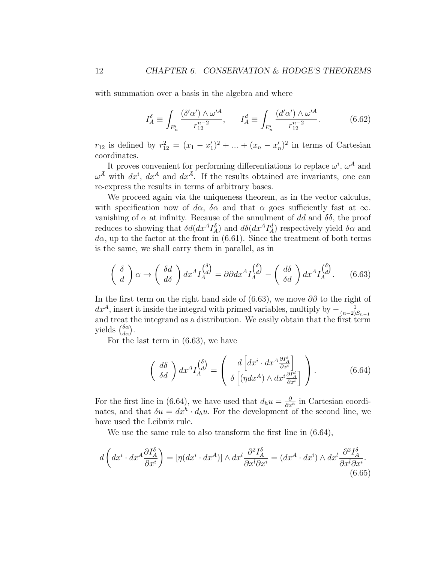with summation over a basis in the algebra and where

$$
I_A^{\delta} \equiv \int_{E'_n} \frac{(\delta' \alpha') \wedge \omega'^{\bar{A}}}{r_{12}^{n-2}}, \qquad I_A^d \equiv \int_{E'_n} \frac{(d' \alpha') \wedge \omega'^{\bar{A}}}{r_{12}^{n-2}}.
$$
 (6.62)

 $r_{12}$  is defined by  $r_{12}^2 = (x_1 - x_1')^2 + ... + (x_n - x_n')^2$  in terms of Cartesian coordinates.

It proves convenient for performing differentiations to replace  $\omega^i$ ,  $\omega^A$  and  $\omega^{\bar{A}}$  with  $dx^{i}$ ,  $dx^{A}$  and  $dx^{\bar{A}}$ . If the results obtained are invariants, one can re-express the results in terms of arbitrary bases.

We proceed again via the uniqueness theorem, as in the vector calculus, with specification now of d $\alpha$ ,  $\delta \alpha$  and that  $\alpha$  goes sufficiently fast at  $\infty$ . vanishing of  $\alpha$  at infinity. Because of the annulment of dd and  $\delta\delta$ , the proof reduces to showing that  $\delta d(dx^AI_A^{\delta})$  and  $d\delta(dx^AI_A^d)$  respectively yield  $\delta \alpha$  and  $d\alpha$ , up to the factor at the front in (6.61). Since the treatment of both terms is the same, we shall carry them in parallel, as in

$$
\begin{pmatrix}\n\delta \\
d\n\end{pmatrix}\n\alpha \to \begin{pmatrix}\n\delta d \\
d\delta\n\end{pmatrix} dx^A I_A^{(\delta)} = \partial \partial dx^A I_A^{(\delta)} - \begin{pmatrix}\nd\delta \\
\delta d\n\end{pmatrix} dx^A I_A^{(\delta)}.
$$
\n(6.63)

In the first term on the right hand side of (6.63), we move  $\partial\partial$  to the right of  $dx^{A}$ , insert it inside the integral with primed variables, multiply by  $-\frac{1}{(n-2)}$  $(n-2)S_{n-1}$ and treat the integrand as a distribution. We easily obtain that the first term yields  $\binom{\delta \alpha}{d \alpha}$ .

For the last term in (6.63), we have

$$
\begin{pmatrix}\nd\delta \\
\delta d\n\end{pmatrix} dx^A I_A^{\left(\stackrel{\delta}{d}\right)} = \begin{pmatrix}\nd\left[dx^i \cdot dx^A \frac{\partial I_A^{\delta}}{\partial x^i}\right] \\
\delta\left[\left(\eta dx^A\right) \wedge dx^i \frac{\partial I_A^d}{\partial x^i}\right]\n\end{pmatrix}.
$$
\n(6.64)

For the first line in (6.64), we have used that  $d_h u = \frac{\partial}{\partial x^h}$  in Cartesian coordinates, and that  $\delta u = dx^h \cdot d_h u$ . For the development of the second line, we have used the Leibniz rule.

We use the same rule to also transform the first line in (6.64),

$$
d\left(dx^{i} \cdot dx^{A} \frac{\partial I_{A}^{\delta}}{\partial x^{i}}\right) = \left[\eta(dx^{i} \cdot dx^{A})\right] \wedge dx^{l} \frac{\partial^{2} I_{A}^{\delta}}{\partial x^{l} \partial x^{i}} = (dx^{A} \cdot dx^{i}) \wedge dx^{l} \frac{\partial^{2} I_{A}^{\delta}}{\partial x^{l} \partial x^{i}}.
$$
\n(6.65)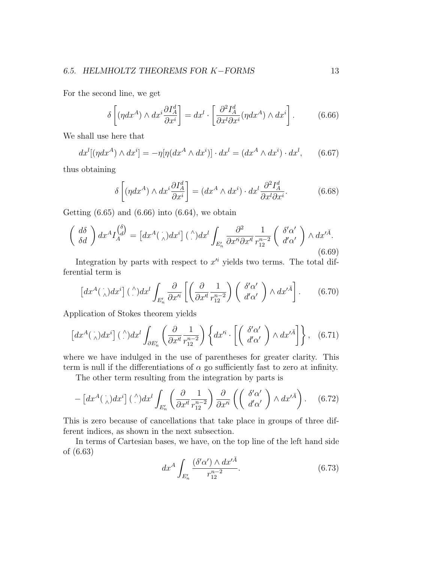For the second line, we get

$$
\delta \left[ (\eta dx^A) \wedge dx^i \frac{\partial I^d_A}{\partial x^i} \right] = dx^l \cdot \left[ \frac{\partial^2 I^d_A}{\partial x^l \partial x^i} (\eta dx^A) \wedge dx^i \right]. \tag{6.66}
$$

We shall use here that

$$
dx^{l}[(\eta dx^{A}) \wedge dx^{i}] = -\eta[\eta(dx^{A} \wedge dx^{i})] \cdot dx^{l} = (dx^{A} \wedge dx^{i}) \cdot dx^{l}, \qquad (6.67)
$$

thus obtaining

$$
\delta \left[ (\eta dx^A) \wedge dx^i \frac{\partial I^d_A}{\partial x^i} \right] = (dx^A \wedge dx^i) \cdot dx^i \frac{\partial^2 I^d_A}{\partial x^i \partial x^i}.
$$
 (6.68)

Getting  $(6.65)$  and  $(6.66)$  into  $(6.64)$ , we obtain

$$
\begin{pmatrix} d\delta \\ \delta d \end{pmatrix} dx^A I_A^{(\delta)} = \left[ dx^A(\cdot) dx^i \right] (\cdot) dx^l \int_{E'_n} \frac{\partial^2}{\partial x'^i \partial x'^l} \frac{1}{r_{12}^{n-2}} \begin{pmatrix} \delta' \alpha' \\ d' \alpha' \end{pmatrix} \wedge dx'^A.
$$
\n(6.69)

Integration by parts with respect to  $x^{\prime i}$  yields two terms. The total differential term is

$$
\[dx^A(\cdot)dx^i\] \stackrel{\wedge}{\ldots} dx^l \int_{E'_n} \frac{\partial}{\partial x'^i} \left[ \left( \frac{\partial}{\partial x'^l} \frac{1}{r_{12}^{n-2}} \right) \left( \begin{array}{c} \delta' \alpha' \\ d' \alpha' \end{array} \right) \wedge dx'^{\bar{A}} \right].
$$
 (6.70)

Application of Stokes theorem yields

$$
\[dx^A(\cdot)dx^i\] \stackrel{\wedge}{\ldots} dx^l \int_{\partial E'_n} \left( \frac{\partial}{\partial x^l} \frac{1}{r_{12}^{n-2}} \right) \left\{ dx'^i \cdot \left[ \begin{pmatrix} \delta' \alpha' \\ d' \alpha' \end{pmatrix} \wedge dx'^{\bar{A}} \right] \right\}, \quad (6.71)
$$

where we have indulged in the use of parentheses for greater clarity. This term is null if the differentiations of  $\alpha$  go sufficiently fast to zero at infinity.

The other term resulting from the integration by parts is

$$
-\left[dx^{A}(\gamma)dx^{i}\right](\gamma)dx^{l}\int_{E'_{n}}\left(\frac{\partial}{\partial x'^{l}}\frac{1}{r_{12}^{n-2}}\right)\frac{\partial}{\partial x'^{i}}\left(\left(\begin{array}{c}\delta'\alpha'\\d'\alpha'\end{array}\right)\wedge dx'^{\bar{A}}\right).
$$
 (6.72)

This is zero because of cancellations that take place in groups of three different indices, as shown in the next subsection.

In terms of Cartesian bases, we have, on the top line of the left hand side of (6.63)

$$
dx^A \int_{E'_n} \frac{(\delta' \alpha') \wedge dx'^{\bar{A}}}{r_{12}^{n-2}}.
$$
 (6.73)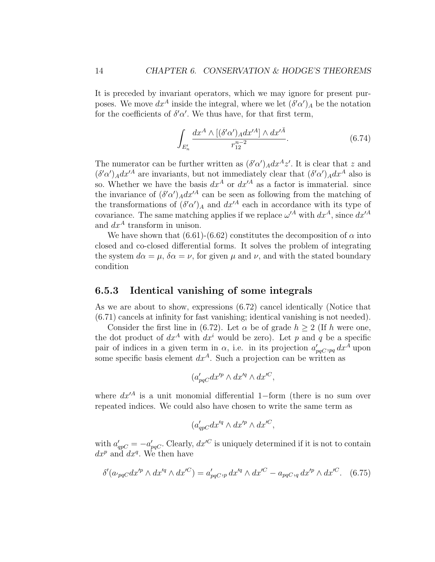It is preceded by invariant operators, which we may ignore for present purposes. We move  $dx^A$  inside the integral, where we let  $(\delta' \alpha')_A$  be the notation for the coefficients of  $\delta' \alpha'$ . We thus have, for that first term,

$$
\int_{E'_n} \frac{dx^A \wedge [(\delta'\alpha')_A dx'^A] \wedge dx'^{\bar{A}}}{r_{12}^{n-2}}.
$$
\n(6.74)

The numerator can be further written as  $(\delta \alpha')_A dx^A z'$ . It is clear that z and  $(\delta' \alpha')_A dx'^A$  are invariants, but not immediately clear that  $(\delta' \alpha')_A dx^A$  also is so. Whether we have the basis  $dx^A$  or  $dx'^A$  as a factor is immaterial. since the invariance of  $(\delta' \alpha')_A dx'^A$  can be seen as following from the matching of the transformations of  $(\delta \alpha')_A$  and  $dx'^A$  each in accordance with its type of covariance. The same matching applies if we replace  $\omega^{\prime A}$  with  $dx^A$ , since  $dx^{\prime A}$ and  $dx^A$  transform in unison.

We have shown that (6.61)-(6.62) constitutes the decomposition of  $\alpha$  into closed and co-closed differential forms. It solves the problem of integrating the system  $d\alpha = \mu$ ,  $\delta \alpha = \nu$ , for given  $\mu$  and  $\nu$ , and with the stated boundary condition

#### 6.5.3 Identical vanishing of some integrals

As we are about to show, expressions (6.72) cancel identically (Notice that (6.71) cancels at infinity for fast vanishing; identical vanishing is not needed).

Consider the first line in (6.72). Let  $\alpha$  be of grade  $h > 2$  (If h were one, the dot product of  $dx^A$  with  $dx^i$  would be zero). Let p and q be a specific pair of indices in a given term in  $\alpha$ , i.e. in its projection  $a'_{pqC,pq} dx^A$  upon some specific basis element  $dx^A$ . Such a projection can be written as

$$
(a'_{pqC}dx'^p \wedge dx'^q \wedge dx'^C,
$$

where  $dx^{\prime A}$  is a unit monomial differential 1−form (there is no sum over repeated indices. We could also have chosen to write the same term as

$$
(a'_{qp}c dx'^q \wedge dx'^p \wedge dx'^C,
$$

with  $a'_{qpC} = -a'_{pqC}$ . Clearly,  $dx'^C$  is uniquely determined if it is not to contain  $dx^p$  and  $dx^q$ . We then have

$$
\delta'(a_{pqC}dx'^p \wedge dx'^q \wedge dx'^C) = a'_{pqC,p} dx'^q \wedge dx'^C - a_{pqC,q} dx'^p \wedge dx'^C. \quad (6.75)
$$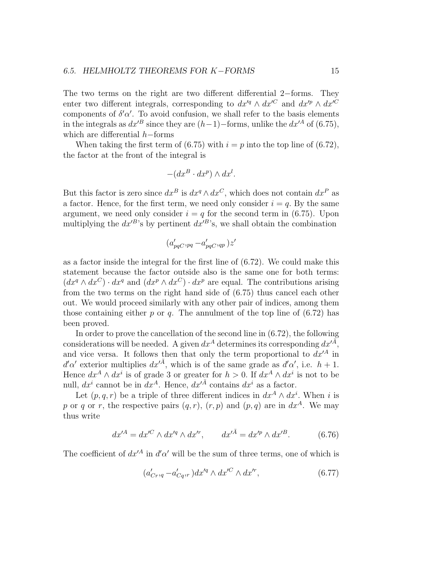The two terms on the right are two different differential 2−forms. They enter two different integrals, corresponding to  $dx'^q \wedge dx'^C$  and  $dx'^p \wedge dx'^C$ components of  $\delta' \alpha'$ . To avoid confusion, we shall refer to the basis elements in the integrals as  $dx^{B}$  since they are  $(h-1)-$ forms, unlike the  $dx^{A}$  of (6.75), which are differential h−forms

When taking the first term of (6.75) with  $i = p$  into the top line of (6.72), the factor at the front of the integral is

$$
-(dx^B \cdot dx^p) \wedge dx^l.
$$

But this factor is zero since  $dx^B$  is  $dx^q \wedge dx^C$ , which does not contain  $dx^P$  as a factor. Hence, for the first term, we need only consider  $i = q$ . By the same argument, we need only consider  $i = q$  for the second term in (6.75). Upon multiplying the  $dx'^{B}$ 's by pertinent  $dx'^{B}$ 's, we shall obtain the combination

$$
(a'_{pqC},_{pq} - a'_{pqC},_{qp})z'
$$

as a factor inside the integral for the first line of (6.72). We could make this statement because the factor outside also is the same one for both terms:  $(dx^q \wedge dx^C) \cdot dx^q$  and  $(dx^p \wedge dx^C) \cdot dx^p$  are equal. The contributions arising from the two terms on the right hand side of (6.75) thus cancel each other out. We would proceed similarly with any other pair of indices, among them those containing either p or q. The annulment of the top line of  $(6.72)$  has been proved.

In order to prove the cancellation of the second line in (6.72), the following considerations will be needed. A given  $dx^A$  determines its corresponding  $dx^{\tilde{A}}$ , and vice versa. It follows then that only the term proportional to  $dx'^A$  in  $d'$ α' exterior multiplies  $dx'^{\bar{A}}$ , which is of the same grade as  $d'\alpha'$ , i.e.  $h+1$ . Hence  $dx^A \wedge dx^i$  is of grade 3 or greater for  $h > 0$ . If  $dx^A \wedge dx^i$  is not to be null,  $dx^i$  cannot be in  $dx^A$ . Hence,  $dx'^{\bar{A}}$  contains  $dx^i$  as a factor.

Let  $(p, q, r)$  be a triple of three different indices in  $dx<sup>A</sup> \wedge dx<sup>i</sup>$ . When i is p or q or r, the respective pairs  $(q, r)$ ,  $(r, p)$  and  $(p, q)$  are in  $dx<sup>A</sup>$ . We may thus write

$$
dx'^{A} = dx'^{C} \wedge dx'^{q} \wedge dx'^{r}, \qquad dx'^{\bar{A}} = dx'^{p} \wedge dx'^{B}.
$$
 (6.76)

The coefficient of  $dx'^A$  in  $d'\alpha'$  will be the sum of three terms, one of which is

$$
(a'_{Cr,q} - a'_{Cq}, )dx'^q \wedge dx'^C \wedge dx'^r, \qquad (6.77)
$$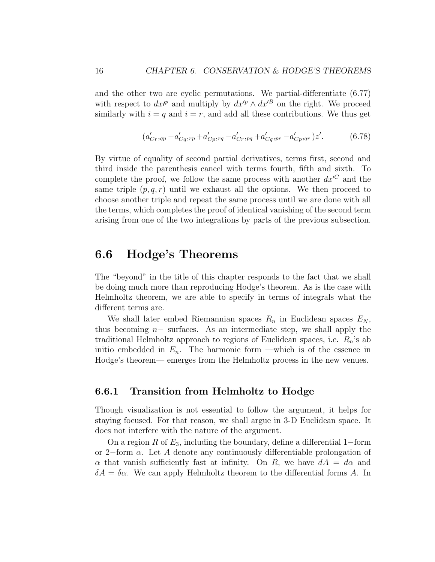and the other two are cyclic permutations. We partial-differentiate (6.77) with respect to  $dx^{\prime p}$  and multiply by  $dx^{\prime p} \wedge dx^{\prime B}$  on the right. We proceed similarly with  $i = q$  and  $i = r$ , and add all these contributions. We thus get

$$
(a'_{Cr,qp} - a'_{Cq,rp} + a'_{Cp,rq} - a'_{Cr,pq} + a'_{Cq,pr} - a'_{Cp,qr})z'. \tag{6.78}
$$

By virtue of equality of second partial derivatives, terms first, second and third inside the parenthesis cancel with terms fourth, fifth and sixth. To complete the proof, we follow the same process with another  $dx^{C}$  and the same triple  $(p, q, r)$  until we exhaust all the options. We then proceed to choose another triple and repeat the same process until we are done with all the terms, which completes the proof of identical vanishing of the second term arising from one of the two integrations by parts of the previous subsection.

## 6.6 Hodge's Theorems

The "beyond" in the title of this chapter responds to the fact that we shall be doing much more than reproducing Hodge's theorem. As is the case with Helmholtz theorem, we are able to specify in terms of integrals what the different terms are.

We shall later embed Riemannian spaces  $R_n$  in Euclidean spaces  $E_N$ , thus becoming  $n-$  surfaces. As an intermediate step, we shall apply the traditional Helmholtz approach to regions of Euclidean spaces, i.e.  $R_n$ 's ab initio embedded in  $E_n$ . The harmonic form —which is of the essence in Hodge's theorem— emerges from the Helmholtz process in the new venues.

### 6.6.1 Transition from Helmholtz to Hodge

Though visualization is not essential to follow the argument, it helps for staying focused. For that reason, we shall argue in 3-D Euclidean space. It does not interfere with the nature of the argument.

On a region R of  $E_3$ , including the boundary, define a differential 1–form or 2−form  $\alpha$ . Let A denote any continuously differentiable prolongation of  $\alpha$  that vanish sufficiently fast at infinity. On R, we have  $dA = d\alpha$  and  $\delta A = \delta \alpha$ . We can apply Helmholtz theorem to the differential forms A. In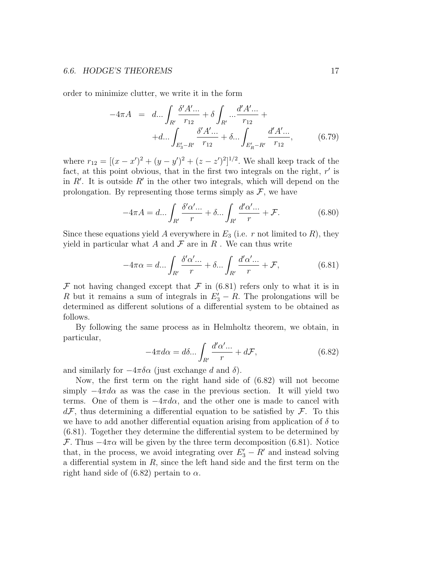#### 6.6. HODGE'S THEOREMS 17

order to minimize clutter, we write it in the form

$$
-4\pi A = d... \int_{R'} \frac{\delta' A'...}{r_{12}} + \delta \int_{R'} ... \frac{d' A'...}{r_{12}} +
$$

$$
+ d... \int_{E'_3 - R'} \frac{\delta' A'...}{r_{12}} + \delta ... \int_{E'_R - R'} \frac{d' A'...}{r_{12}}, \qquad (6.79)
$$

where  $r_{12} = [(x - x')^2 + (y - y')^2 + (z - z')^2]^{1/2}$ . We shall keep track of the fact, at this point obvious, that in the first two integrals on the right,  $r'$  is in  $R'$ . It is outside  $R'$  in the other two integrals, which will depend on the prolongation. By representing those terms simply as  $\mathcal{F}$ , we have

$$
-4\pi A = d \dots \int_{R'} \frac{\delta' \alpha' \dots}{r} + \delta \dots \int_{R'} \frac{d' \alpha' \dots}{r} + \mathcal{F}.
$$
 (6.80)

Since these equations yield A everywhere in  $E_3$  (i.e. r not limited to R), they yield in particular what A and  $\mathcal F$  are in R. We can thus write

$$
-4\pi\alpha = d...\int_{R'} \frac{\delta'\alpha'...}{r} + \delta...\int_{R'} \frac{d'\alpha'...}{r} + \mathcal{F},
$$
\n(6.81)

F not having changed except that F in  $(6.81)$  refers only to what it is in R but it remains a sum of integrals in  $E'_3 - R$ . The prolongations will be determined as different solutions of a differential system to be obtained as follows.

By following the same process as in Helmholtz theorem, we obtain, in particular,

$$
-4\pi d\alpha = d\delta \dots \int_{R'} \frac{d'\alpha'\dots}{r} + d\mathcal{F},\tag{6.82}
$$

and similarly for  $-4\pi\delta\alpha$  (just exchange d and  $\delta$ ).

Now, the first term on the right hand side of (6.82) will not become simply  $-4\pi d\alpha$  as was the case in the previous section. It will yield two terms. One of them is  $-4\pi d\alpha$ , and the other one is made to cancel with  $d\mathcal{F}$ , thus determining a differential equation to be satisfied by  $\mathcal{F}$ . To this we have to add another differential equation arising from application of  $\delta$  to (6.81). Together they determine the differential system to be determined by F. Thus  $-4\pi\alpha$  will be given by the three term decomposition (6.81). Notice that, in the process, we avoid integrating over  $E_3' - R'$  and instead solving a differential system in  $R$ , since the left hand side and the first term on the right hand side of (6.82) pertain to  $\alpha$ .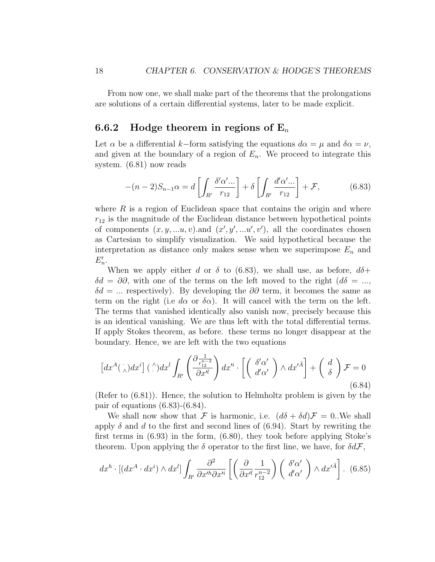From now one, we shall make part of the theorems that the prolongations are solutions of a certain differential systems, later to be made explicit.

### 6.6.2 Hodge theorem in regions of  $E_n$

Let  $\alpha$  be a differential k–form satisfying the equations  $d\alpha = \mu$  and  $\delta \alpha = \nu$ , and given at the boundary of a region of  $E_n$ . We proceed to integrate this system. (6.81) now reads

$$
-(n-2)S_{n-1}\alpha = d\left[\int_{R'} \frac{\delta'\alpha'\dots}{r_{12}}\right] + \delta\left[\int_{R'} \frac{d'\alpha'\dots}{r_{12}}\right] + \mathcal{F},\tag{6.83}
$$

where  $R$  is a region of Euclidean space that contains the origin and where  $r_{12}$  is the magnitude of the Euclidean distance between hypothetical points of components  $(x, y, ...u, v)$  and  $(x', y', ...u', v')$ , all the coordinates chosen as Cartesian to simplify visualization. We said hypothetical because the interpretation as distance only makes sense when we superimpose  $E_n$  and  $E_n'$ .

When we apply either d or  $\delta$  to (6.83), we shall use, as before,  $d\delta$ +  $\delta d = \partial \partial$ , with one of the terms on the left moved to the right  $(d\delta = ...$  $\delta d = \dots$  respectively). By developing the ∂∂ term, it becomes the same as term on the right (i.e d $\alpha$  or  $\delta \alpha$ ). It will cancel with the term on the left. The terms that vanished identically also vanish now, precisely because this is an identical vanishing. We are thus left with the total differential terms. If apply Stokes theorem, as before. these terms no longer disappear at the boundary. Hence, we are left with the two equations

$$
\[dx^{A}(\dot{\wedge})dx^{i}](\dot{\wedge})dx^{l}\int_{R'}\left(\frac{\partial\frac{1}{r_{12}^{n-2}}}{\partial x'^{l}}\right)dx'^{i}\cdot\left[\left(\begin{array}{c}\delta'\alpha'\\d'\alpha'\end{array}\right)\wedge dx'^{A}\right]+\left(\begin{array}{c}d\\ \delta\end{array}\right)\mathcal{F}=0\tag{6.84}
$$

(Refer to (6.81)). Hence, the solution to Helmholtz problem is given by the pair of equations (6.83)-(6.84).

We shall now show that F is harmonic, i.e.  $(d\delta + \delta d)\mathcal{F} = 0$ . We shall apply  $\delta$  and d to the first and second lines of (6.94). Start by rewriting the first terms in (6.93) in the form, (6.80), they took before applying Stoke's theorem. Upon applying the  $\delta$  operator to the first line, we have, for  $\delta d\mathcal{F}$ ,

$$
dx^{h} \cdot \left[ (dx^{A} \cdot dx^{i}) \wedge dx^{l} \right] \int_{R'} \frac{\partial^{2}}{\partial x'^{h} \partial x'^{i}} \left[ \left( \frac{\partial}{\partial x'^{l}} \frac{1}{r_{12}^{n-2}} \right) \left( \begin{array}{c} \delta' \alpha' \\ d' \alpha' \end{array} \right) \wedge dx'^{\bar{A}} \right].
$$
 (6.85)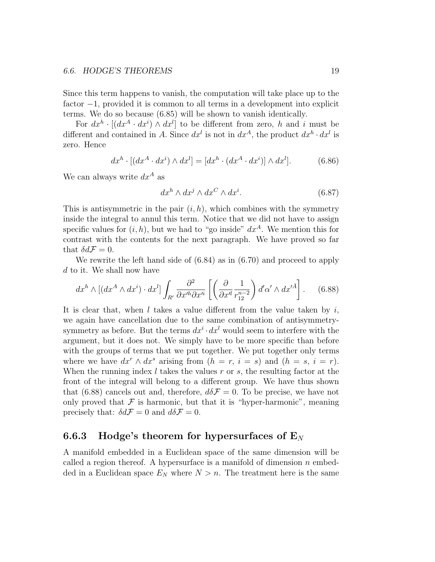Since this term happens to vanish, the computation will take place up to the factor −1, provided it is common to all terms in a development into explicit terms. We do so because (6.85) will be shown to vanish identically.

For  $dx^h \cdot [(dx^A \cdot dx^i) \wedge dx^l]$  to be different from zero, h and i must be different and contained in A. Since  $dx^{l}$  is not in  $dx^{A}$ , the product  $dx^{h} \cdot dx^{l}$  is zero. Hence

$$
dx^{h} \cdot [(dx^{A} \cdot dx^{i}) \wedge dx^{l}] = [dx^{h} \cdot (dx^{A} \cdot dx^{i})] \wedge dx^{l}]. \tag{6.86}
$$

We can always write  $dx^A$  as

$$
dx^h \wedge dx^j \wedge dx^C \wedge dx^i. \tag{6.87}
$$

This is antisymmetric in the pair  $(i, h)$ , which combines with the symmetry inside the integral to annul this term. Notice that we did not have to assign specific values for  $(i, h)$ , but we had to "go inside"  $dx<sup>A</sup>$ . We mention this for contrast with the contents for the next paragraph. We have proved so far that  $\delta d\mathcal{F} = 0$ .

We rewrite the left hand side of  $(6.84)$  as in  $(6.70)$  and proceed to apply d to it. We shall now have

$$
dx^{h} \wedge \left[ (dx^{A} \wedge dx^{i}) \cdot dx^{l} \right] \int_{R'} \frac{\partial^{2}}{\partial x^{\prime h} \partial x^{\prime i}} \left[ \left( \frac{\partial}{\partial x^{\prime l}} \frac{1}{r_{12}^{n-2}} \right) d^{\prime} \alpha^{\prime} \wedge dx^{\prime \bar{A}} \right]. \tag{6.88}
$$

It is clear that, when  $l$  takes a value different from the value taken by  $i$ , we again have cancellation due to the same combination of antisymmetrysymmetry as before. But the terms  $dx^{i} \cdot dx^{l}$  would seem to interfere with the argument, but it does not. We simply have to be more specific than before with the groups of terms that we put together. We put together only terms where we have  $dx^r \wedge dx^s$  arising from  $(h = r, i = s)$  and  $(h = s, i = r)$ . When the running index  $l$  takes the values  $r$  or  $s$ , the resulting factor at the front of the integral will belong to a different group. We have thus shown that (6.88) cancels out and, therefore,  $d\delta\mathcal{F}=0$ . To be precise, we have not only proved that  $\mathcal F$  is harmonic, but that it is "hyper-harmonic", meaning precisely that:  $\delta d\mathcal{F} = 0$  and  $d\delta \mathcal{F} = 0$ .

#### 6.6.3 Hodge's theorem for hypersurfaces of  $E_N$

A manifold embedded in a Euclidean space of the same dimension will be called a region thereof. A hypersurface is a manifold of dimension  $n$  embedded in a Euclidean space  $E<sub>N</sub>$  where  $N > n$ . The treatment here is the same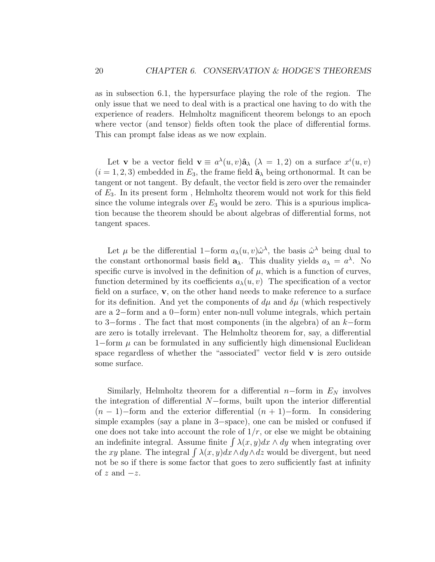as in subsection 6.1, the hypersurface playing the role of the region. The only issue that we need to deal with is a practical one having to do with the experience of readers. Helmholtz magnificent theorem belongs to an epoch where vector (and tensor) fields often took the place of differential forms. This can prompt false ideas as we now explain.

Let **v** be a vector field  $\mathbf{v} \equiv a^{\lambda}(u, v)\hat{\mathbf{a}}_{\lambda}$  ( $\lambda = 1, 2$ ) on a surface  $x^{i}(u, v)$  $(i = 1, 2, 3)$  embedded in  $E_3$ , the frame field  $\hat{\mathbf{a}}_{\lambda}$  being orthonormal. It can be tangent or not tangent. By default, the vector field is zero over the remainder of E3. In its present form , Helmholtz theorem would not work for this field since the volume integrals over  $E_3$  would be zero. This is a spurious implication because the theorem should be about algebras of differential forms, not tangent spaces.

Let  $\mu$  be the differential 1–form  $a_{\lambda}(u, v)\hat{\omega}^{\lambda}$ , the basis  $\hat{\omega}^{\lambda}$  being dual to the constant orthonormal basis field  $\mathbf{a}_{\lambda}$ . This duality yields  $a_{\lambda} = a^{\lambda}$ . No specific curve is involved in the definition of  $\mu$ , which is a function of curves, function determined by its coefficients  $a_{\lambda}(u, v)$  The specification of a vector field on a surface, v, on the other hand needs to make reference to a surface for its definition. And yet the components of  $d\mu$  and  $\delta\mu$  (which respectively are a 2−form and a 0−form) enter non-null volume integrals, which pertain to 3−forms. The fact that most components (in the algebra) of an  $k$ −form are zero is totally irrelevant. The Helmholtz theorem for, say, a differential 1−form  $\mu$  can be formulated in any sufficiently high dimensional Euclidean space regardless of whether the "associated" vector field v is zero outside some surface.

Similarly, Helmholtz theorem for a differential  $n$ –form in  $E<sub>N</sub>$  involves the integration of differential N−forms, built upon the interior differential  $(n-1)$ –form and the exterior differential  $(n+1)$ –form. In considering simple examples (say a plane in 3−space), one can be misled or confused if one does not take into account the role of  $1/r$ , or else we might be obtaining an indefinite integral. Assume finite  $\int \lambda(x, y) dx \wedge dy$  when integrating over the xy plane. The integral  $\int \lambda(x, y) dx \wedge dy \wedge dz$  would be divergent, but need not be so if there is some factor that goes to zero sufficiently fast at infinity of  $z$  and  $-z$ .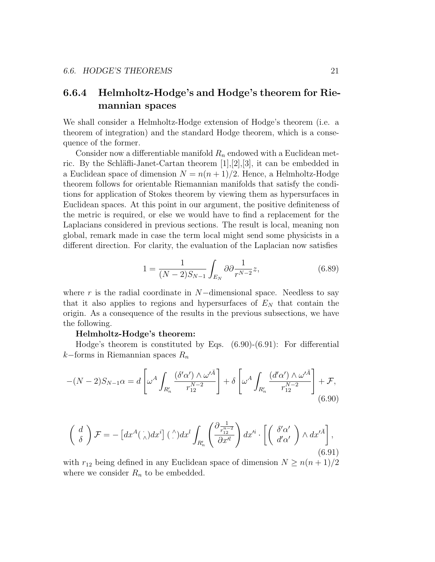### 6.6.4 Helmholtz-Hodge's and Hodge's theorem for Riemannian spaces

We shall consider a Helmholtz-Hodge extension of Hodge's theorem (i.e. a theorem of integration) and the standard Hodge theorem, which is a consequence of the former.

Consider now a differentiable manifold  $R_n$  endowed with a Euclidean metric. By the Schläfli-Janet-Cartan theorem  $[1],[2],[3]$ , it can be embedded in a Euclidean space of dimension  $N = n(n+1)/2$ . Hence, a Helmholtz-Hodge theorem follows for orientable Riemannian manifolds that satisfy the conditions for application of Stokes theorem by viewing them as hypersurfaces in Euclidean spaces. At this point in our argument, the positive definiteness of the metric is required, or else we would have to find a replacement for the Laplacians considered in previous sections. The result is local, meaning non global, remark made in case the term local might send some physicists in a different direction. For clarity, the evaluation of the Laplacian now satisfies

$$
1 = \frac{1}{(N-2)S_{N-1}} \int_{E_N} \partial \partial \frac{1}{r^{N-2}} z,\tag{6.89}
$$

where r is the radial coordinate in  $N$ -dimensional space. Needless to say that it also applies to regions and hypersurfaces of  $E<sub>N</sub>$  that contain the origin. As a consequence of the results in the previous subsections, we have the following.

#### Helmholtz-Hodge's theorem:

Hodge's theorem is constituted by Eqs. (6.90)-(6.91): For differential k–forms in Riemannian spaces  $R_n$ 

$$
-(N-2)S_{N-1}\alpha = d\left[\omega^A \int_{R'_n} \frac{(\delta'\alpha') \wedge \omega'^{\bar{A}}}{r_{12}^{N-2}}\right] + \delta\left[\omega^A \int_{R'_n} \frac{(d'\alpha') \wedge \omega'^{\bar{A}}}{r_{12}^{N-2}}\right] + \mathcal{F},\tag{6.90}
$$

$$
\begin{pmatrix} d \\ \delta \end{pmatrix} \mathcal{F} = -\left[ dx^A(\cdot) dx^i \right] (\cdot^{\wedge}) dx^l \int_{R'_n} \left( \frac{\partial \frac{1}{r_1^{n-2}}}{\partial x'^l} \right) dx'^i \cdot \left[ \begin{pmatrix} \delta' \alpha' \\ d' \alpha' \end{pmatrix} \wedge dx'^{\bar{A}} \right],
$$
\n(6.91)

with  $r_{12}$  being defined in any Euclidean space of dimension  $N \geq n(n+1)/2$ where we consider  $R_n$  to be embedded.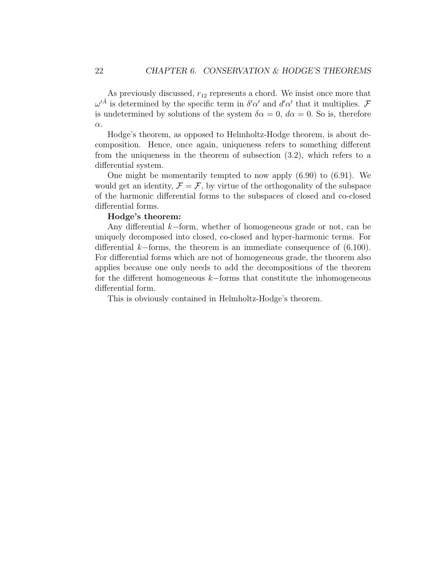As previously discussed,  $r_{12}$  represents a chord. We insist once more that  $\omega^{\prime \bar{A}}$  is determined by the specific term in  $\delta^{\prime} \alpha^{\prime}$  and  $d^{\prime} \alpha^{\prime}$  that it multiplies. F is undetermined by solutions of the system  $\delta \alpha = 0$ ,  $d\alpha = 0$ . So is, therefore α.

Hodge's theorem, as opposed to Helmholtz-Hodge theorem, is about decomposition. Hence, once again, uniqueness refers to something different from the uniqueness in the theorem of subsection (3.2), which refers to a differential system.

One might be momentarily tempted to now apply (6.90) to (6.91). We would get an identity,  $\mathcal{F} = \mathcal{F}$ , by virtue of the orthogonality of the subspace of the harmonic differential forms to the subspaces of closed and co-closed differential forms.

#### Hodge's theorem:

Any differential k−form, whether of homogeneous grade or not, can be uniquely decomposed into closed, co-closed and hyper-harmonic terms. For differential k−forms, the theorem is an immediate consequence of (6.100). For differential forms which are not of homogeneous grade, the theorem also applies because one only needs to add the decompositions of the theorem for the different homogeneous k−forms that constitute the inhomogeneous differential form.

This is obviously contained in Helmholtz-Hodge's theorem.